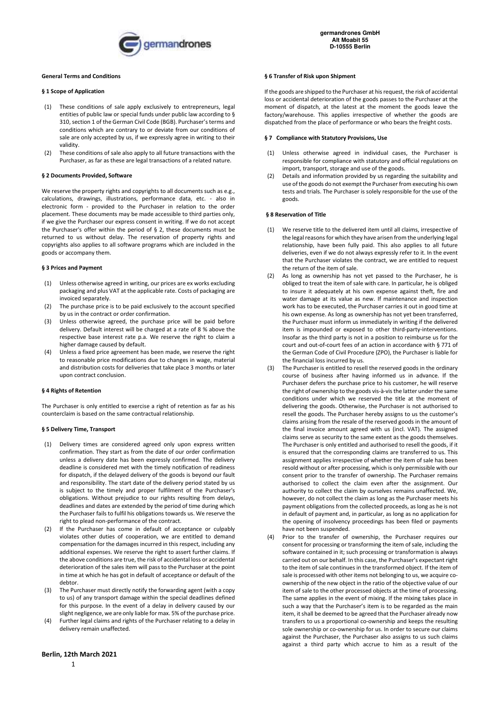

### **§ 1 Scope of Application**

- (1) These conditions of sale apply exclusively to entrepreneurs, legal entities of public law or special funds under public law according to § 310, section 1 of the German Civil Code (BGB). Purchaser's terms and conditions which are contrary to or deviate from our conditions of sale are only accepted by us, if we expressly agree in writing to their validity.
- (2) These conditions of sale also apply to all future transactions with the Purchaser, as far as these are legal transactions of a related nature.

### **§ 2 Documents Provided, Software**

We reserve the property rights and copyrights to all documents such as e.g., calculations, drawings, illustrations, performance data, etc. - also in electronic form - provided to the Purchaser in relation to the order placement. These documents may be made accessible to third parties only, if we give the Purchaser our express consent in writing. If we do not accept the Purchaser's offer within the period of § 2, these documents must be returned to us without delay. The reservation of property rights and copyrights also applies to all software programs which are included in the goods or accompany them.

#### **§ 3 Prices and Payment**

- (1) Unless otherwise agreed in writing, our prices are ex works excluding packaging and plus VAT at the applicable rate. Costs of packaging are invoiced separately.
- (2) The purchase price is to be paid exclusively to the account specified by us in the contract or order confirmation.
- (3) Unless otherwise agreed, the purchase price will be paid before delivery. Default interest will be charged at a rate of 8 % above the respective base interest rate p.a. We reserve the right to claim a higher damage caused by default.
- Unless a fixed price agreement has been made, we reserve the right to reasonable price modifications due to changes in wage, material and distribution costs for deliveries that take place 3 months or later upon contract conclusion.

## **§ 4 Rights of Retention**

The Purchaser is only entitled to exercise a right of retention as far as his counterclaim is based on the same contractual relationship.

### **§ 5 Delivery Time, Transport**

- (1) Delivery times are considered agreed only upon express written confirmation. They start as from the date of our order confirmation unless a delivery date has been expressly confirmed. The delivery deadline is considered met with the timely notification of readiness for dispatch, if the delayed delivery of the goods is beyond our fault and responsibility. The start date of the delivery period stated by us is subject to the timely and proper fulfilment of the Purchaser's obligations. Without prejudice to our rights resulting from delays, deadlines and dates are extended by the period of time during which the Purchaser fails to fulfil his obligations towards us. We reserve the right to plead non-performance of the contract.
- (2) If the Purchaser has come in default of acceptance or culpably violates other duties of cooperation, we are entitled to demand compensation for the damages incurred in this respect, including any additional expenses. We reserve the right to assert further claims. If the above conditions are true, the risk of accidental loss or accidental deterioration of the sales item will pass to the Purchaser at the point in time at which he has got in default of acceptance or default of the debtor.
- (3) The Purchaser must directly notify the forwarding agent (with a copy to us) of any transport damage within the special deadlines defined for this purpose. In the event of a delay in delivery caused by our slight negligence, we are only liable for max. 5% of the purchase price.
- (4) Further legal claims and rights of the Purchaser relating to a delay in delivery remain unaffected.

#### **§ 6 Transfer of Risk upon Shipment**

If the goods are shipped to the Purchaser at his request, the risk of accidental loss or accidental deterioration of the goods passes to the Purchaser at the moment of dispatch, at the latest at the moment the goods leave the factory/warehouse. This applies irrespective of whether the goods are dispatched from the place of performance or who bears the freight costs.

#### **§ 7 Compliance with Statutory Provisions, Use**

- (1) Unless otherwise agreed in individual cases, the Purchaser is responsible for compliance with statutory and official regulations on import, transport, storage and use of the goods.
- Details and information provided by us regarding the suitability and use of the goods do not exempt the Purchaser from executing his own tests and trials. The Purchaser is solely responsible for the use of the goods.

## **§ 8 Reservation of Title**

- (1) We reserve title to the delivered item until all claims, irrespective of the legal reasons for which they have arisen from the underlying legal relationship, have been fully paid. This also applies to all future deliveries, even if we do not always expressly refer to it. In the event that the Purchaser violates the contract, we are entitled to request the return of the item of sale.
- (2) As long as ownership has not yet passed to the Purchaser, he is obliged to treat the item of sale with care. In particular, he is obliged to insure it adequately at his own expense against theft, fire and water damage at its value as new. If maintenance and inspection work has to be executed, the Purchaser carries it out in good time at his own expense. As long as ownership has not yet been transferred, the Purchaser must inform us immediately in writing if the delivered item is impounded or exposed to other third-party-interventions. Insofar as the third party is not in a position to reimburse us for the court and out-of-court fees of an action in accordance with § 771 of the German Code of Civil Procedure (ZPO), the Purchaser is liable for the financial loss incurred by us.
- (3) The Purchaser is entitled to resell the reserved goods in the ordinary course of business after having informed us in advance. If the Purchaser defers the purchase price to his customer, he will reserve the right of ownership to the goods vis-à-vis the latter under the same conditions under which we reserved the title at the moment of delivering the goods. Otherwise, the Purchaser is not authorised to resell the goods. The Purchaser hereby assigns to us the customer's claims arising from the resale of the reserved goods in the amount of the final invoice amount agreed with us (incl. VAT). The assigned claims serve as security to the same extent as the goods themselves. The Purchaser is only entitled and authorised to resell the goods, if it is ensured that the corresponding claims are transferred to us. This assignment applies irrespective of whether the item of sale has been resold without or after processing, which is only permissible with our consent prior to the transfer of ownership. The Purchaser remains authorised to collect the claim even after the assignment. Our authority to collect the claim by ourselves remains unaffected. We, however, do not collect the claim as long as the Purchaser meets his payment obligations from the collected proceeds, as long as he is not in default of payment and, in particular, as long as no application for the opening of insolvency proceedings has been filed or payments have not been suspended.
- (4) Prior to the transfer of ownership, the Purchaser requires our consent for processing or transforming the item of sale, including the software contained in it; such processing or transformation is always carried out on our behalf. In this case, the Purchaser's expectant right to the item of sale continues in the transformed object. If the item of sale is processed with other items not belonging to us, we acquire coownership of the new object in the ratio of the objective value of our item of sale to the other processed objects at the time of processing. The same applies in the event of mixing. If the mixing takes place in such a way that the Purchaser's item is to be regarded as the main item, it shall be deemed to be agreed that the Purchaser already now transfers to us a proportional co-ownership and keeps the resulting sole ownership or co-ownership for us. In order to secure our claims against the Purchaser, the Purchaser also assigns to us such claims against a third party which accrue to him as a result of the